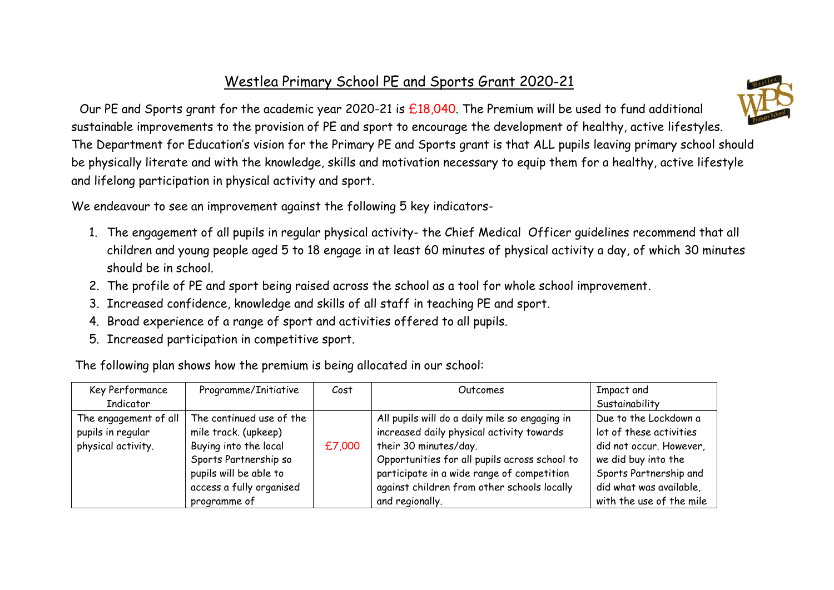## Westlea Primary School PE and Sports Grant 2020-21



 Our PE and Sports grant for the academic year 2020-21 is £18,040. The Premium will be used to fund additional sustainable improvements to the provision of PE and sport to encourage the development of healthy, active lifestyles. The Department for Education's vision for the Primary PE and Sports grant is that ALL pupils leaving primary school should be physically literate and with the knowledge, skills and motivation necessary to equip them for a healthy, active lifestyle and lifelong participation in physical activity and sport.

We endeavour to see an improvement against the following 5 key indicators-

- 1. The engagement of all pupils in regular physical activity- the Chief Medical Officer guidelines recommend that all children and young people aged 5 to 18 engage in at least 60 minutes of physical activity a day, of which 30 minutes should be in school.
- 2. The profile of PE and sport being raised across the school as a tool for whole school improvement.
- 3. Increased confidence, knowledge and skills of all staff in teaching PE and sport.
- 4. Broad experience of a range of sport and activities offered to all pupils.
- 5. Increased participation in competitive sport.

The following plan shows how the premium is being allocated in our school:

| Key Performance       | Programme/Initiative     | Cost   | Outcomes                                       | Impact and               |
|-----------------------|--------------------------|--------|------------------------------------------------|--------------------------|
| Indicator             |                          |        |                                                | Sustainability           |
| The engagement of all | The continued use of the |        | All pupils will do a daily mile so engaging in | Due to the Lockdown a    |
| pupils in regular     | mile track. (upkeep)     |        | increased daily physical activity towards      | lot of these activities  |
| physical activity.    | Buying into the local    | £7,000 | their 30 minutes/day.                          | did not occur. However,  |
|                       | Sports Partnership so    |        | Opportunities for all pupils across school to  | we did buy into the      |
|                       | pupils will be able to   |        | participate in a wide range of competition     | Sports Partnership and   |
|                       | access a fully organised |        | against children from other schools locally    | did what was available,  |
|                       | programme of             |        | and regionally.                                | with the use of the mile |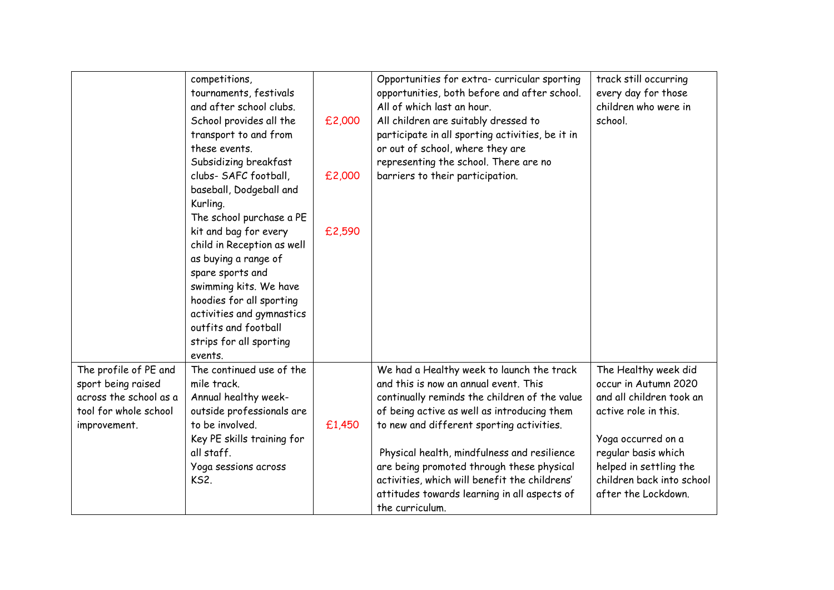|                                                                                                                | competitions,<br>tournaments, festivals<br>and after school clubs.<br>School provides all the<br>transport to and from<br>these events.<br>Subsidizing breakfast<br>clubs- SAFC football,<br>baseball, Dodgeball and<br>Kurling.<br>The school purchase a PE<br>kit and bag for every<br>child in Reception as well<br>as buying a range of<br>spare sports and<br>swimming kits. We have<br>hoodies for all sporting<br>activities and gymnastics<br>outfits and football<br>strips for all sporting<br>events. | £2,000<br>£2,000<br>£2,590 | Opportunities for extra- curricular sporting<br>opportunities, both before and after school.<br>All of which last an hour.<br>All children are suitably dressed to<br>participate in all sporting activities, be it in<br>or out of school, where they are<br>representing the school. There are no<br>barriers to their participation.                                                                                                         | track still occurring<br>every day for those<br>children who were in<br>school.                                                                                                                                             |
|----------------------------------------------------------------------------------------------------------------|------------------------------------------------------------------------------------------------------------------------------------------------------------------------------------------------------------------------------------------------------------------------------------------------------------------------------------------------------------------------------------------------------------------------------------------------------------------------------------------------------------------|----------------------------|-------------------------------------------------------------------------------------------------------------------------------------------------------------------------------------------------------------------------------------------------------------------------------------------------------------------------------------------------------------------------------------------------------------------------------------------------|-----------------------------------------------------------------------------------------------------------------------------------------------------------------------------------------------------------------------------|
| The profile of PE and<br>sport being raised<br>across the school as a<br>tool for whole school<br>improvement. | The continued use of the<br>mile track.<br>Annual healthy week-<br>outside professionals are<br>to be involved.<br>Key PE skills training for<br>all staff.<br>Yoga sessions across<br><b>KS2.</b>                                                                                                                                                                                                                                                                                                               | £1,450                     | We had a Healthy week to launch the track<br>and this is now an annual event. This<br>continually reminds the children of the value<br>of being active as well as introducing them<br>to new and different sporting activities.<br>Physical health, mindfulness and resilience<br>are being promoted through these physical<br>activities, which will benefit the childrens'<br>attitudes towards learning in all aspects of<br>the curriculum. | The Healthy week did<br>occur in Autumn 2020<br>and all children took an<br>active role in this.<br>Yoga occurred on a<br>regular basis which<br>helped in settling the<br>children back into school<br>after the Lockdown. |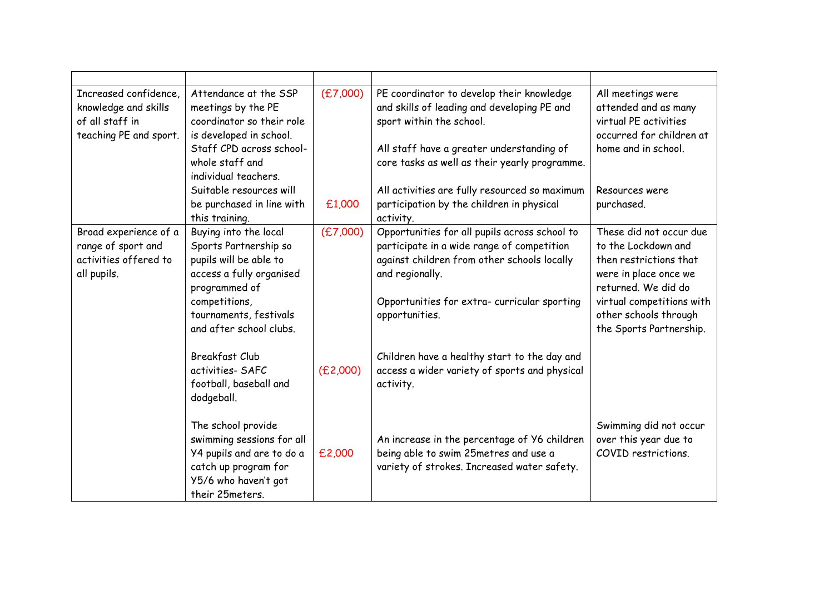| Increased confidence,<br>knowledge and skills<br>of all staff in<br>teaching PE and sport. | Attendance at the SSP<br>meetings by the PE<br>coordinator so their role<br>is developed in school.<br>Staff CPD across school-<br>whole staff and<br>individual teachers.<br>Suitable resources will | (E7,000) | PE coordinator to develop their knowledge<br>and skills of leading and developing PE and<br>sport within the school.<br>All staff have a greater understanding of<br>core tasks as well as their yearly programme.<br>All activities are fully resourced so maximum | All meetings were<br>attended and as many<br>virtual PE activities<br>occurred for children at<br>home and in school.<br>Resources were                                                                   |
|--------------------------------------------------------------------------------------------|-------------------------------------------------------------------------------------------------------------------------------------------------------------------------------------------------------|----------|---------------------------------------------------------------------------------------------------------------------------------------------------------------------------------------------------------------------------------------------------------------------|-----------------------------------------------------------------------------------------------------------------------------------------------------------------------------------------------------------|
|                                                                                            | be purchased in line with<br>this training.                                                                                                                                                           | £1,000   | participation by the children in physical<br>activity.                                                                                                                                                                                                              | purchased.                                                                                                                                                                                                |
| Broad experience of a<br>range of sport and<br>activities offered to<br>all pupils.        | Buying into the local<br>Sports Partnership so<br>pupils will be able to<br>access a fully organised<br>programmed of<br>competitions,<br>tournaments, festivals<br>and after school clubs.           | (E7,000) | Opportunities for all pupils across school to<br>participate in a wide range of competition<br>against children from other schools locally<br>and regionally.<br>Opportunities for extra- curricular sporting<br>opportunities.                                     | These did not occur due<br>to the Lockdown and<br>then restrictions that<br>were in place once we<br>returned. We did do<br>virtual competitions with<br>other schools through<br>the Sports Partnership. |
|                                                                                            | <b>Breakfast Club</b><br>activities-SAFC<br>football, baseball and<br>dodgeball.                                                                                                                      | (E2,000) | Children have a healthy start to the day and<br>access a wider variety of sports and physical<br>activity.                                                                                                                                                          |                                                                                                                                                                                                           |
|                                                                                            | The school provide<br>swimming sessions for all<br>Y4 pupils and are to do a<br>catch up program for<br>Y5/6 who haven't got<br>their 25meters.                                                       | £2,000   | An increase in the percentage of Y6 children<br>being able to swim 25metres and use a<br>variety of strokes. Increased water safety.                                                                                                                                | Swimming did not occur<br>over this year due to<br>COVID restrictions.                                                                                                                                    |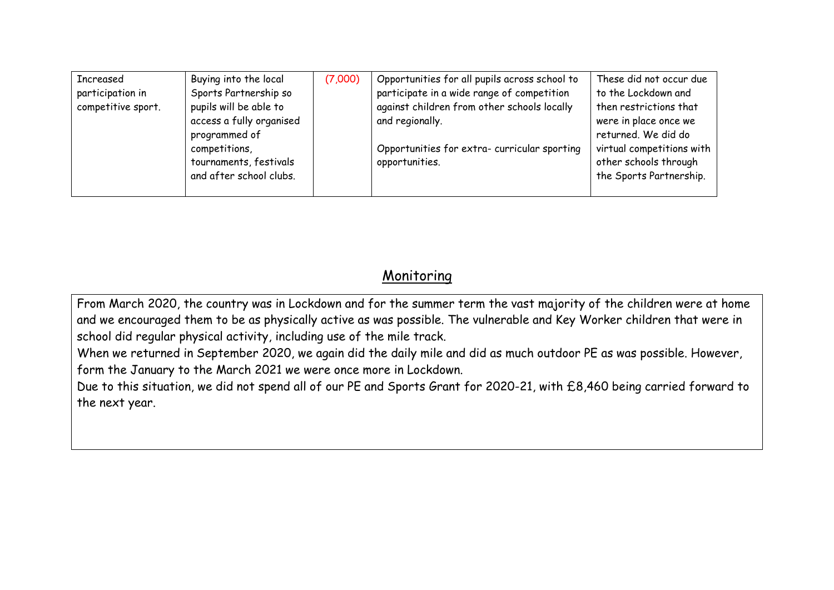| participate in a wide range of competition<br>Sports Partnership so<br>participation in<br>against children from other schools locally<br>pupils will be able to<br>competitive sport.<br>access a fully organised<br>and regionally.<br>programmed of<br>Opportunities for extra-curricular sporting<br>competitions,<br>tournaments, festivals<br>opportunities.<br>and after school clubs. | Increased | Buying into the local | (7,000) | Opportunities for all pupils across school to | These did not occur due<br>to the Lockdown and<br>then restrictions that<br>were in place once we<br>returned. We did do<br>virtual competitions with<br>other schools through<br>the Sports Partnership. |
|-----------------------------------------------------------------------------------------------------------------------------------------------------------------------------------------------------------------------------------------------------------------------------------------------------------------------------------------------------------------------------------------------|-----------|-----------------------|---------|-----------------------------------------------|-----------------------------------------------------------------------------------------------------------------------------------------------------------------------------------------------------------|
|-----------------------------------------------------------------------------------------------------------------------------------------------------------------------------------------------------------------------------------------------------------------------------------------------------------------------------------------------------------------------------------------------|-----------|-----------------------|---------|-----------------------------------------------|-----------------------------------------------------------------------------------------------------------------------------------------------------------------------------------------------------------|

## Monitoring

From March 2020, the country was in Lockdown and for the summer term the vast majority of the children were at home and we encouraged them to be as physically active as was possible. The vulnerable and Key Worker children that were in school did regular physical activity, including use of the mile track.

When we returned in September 2020, we again did the daily mile and did as much outdoor PE as was possible. However, form the January to the March 2021 we were once more in Lockdown.

Due to this situation, we did not spend all of our PE and Sports Grant for 2020-21, with £8,460 being carried forward to the next year.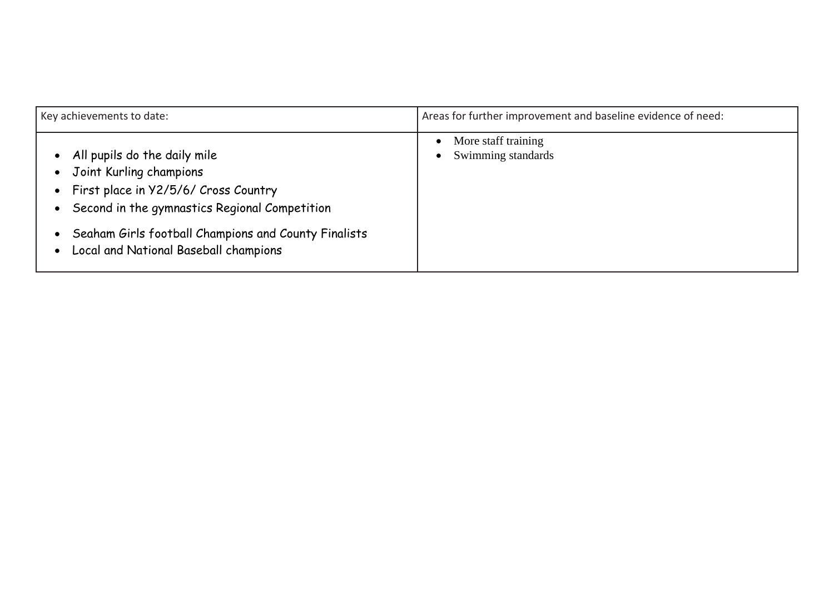| Key achievements to date:                                                                                                                                                                                                                         | Areas for further improvement and baseline evidence of need:        |  |
|---------------------------------------------------------------------------------------------------------------------------------------------------------------------------------------------------------------------------------------------------|---------------------------------------------------------------------|--|
| All pupils do the daily mile<br>Joint Kurling champions<br>First place in Y2/5/6/ Cross Country<br>Second in the gymnastics Regional Competition<br>Seaham Girls football Champions and County Finalists<br>Local and National Baseball champions | More staff training<br>$\bullet$<br>Swimming standards<br>$\bullet$ |  |